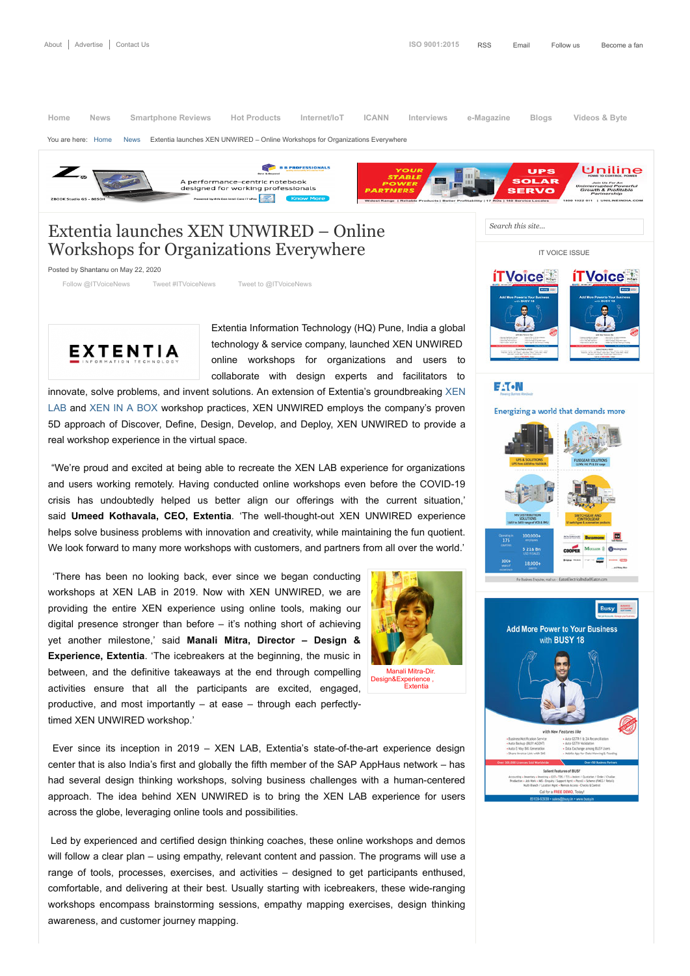## Extentia launches XEN UNWIRED – Online Workshops for Organizations Everywhere

Posted by [Shantanu](https://www.itvoice.in/author/shantanu) on May 22, 2020

[Follow @ITVoiceNews](https://twitter.com/intent/follow?original_referer=https%3A%2F%2Fwww.itvoice.in%2Fextentia-launches-xen-unwired-online-workshops-for-organizations-everywhere&ref_src=twsrc%5Etfw®ion=follow_link&screen_name=ITVoiceNews&tw_p=followbutton) [Tweet #ITVoiceNews](https://twitter.com/intent/tweet?hashtags=ITVoiceNews%2C&original_referer=https%3A%2F%2Fwww.itvoice.in%2Fextentia-launches-xen-unwired-online-workshops-for-organizations-everywhere&ref_src=twsrc%5Etfw&text=Extentia%20launches%20XEN%20UNWIRED%20%E2%80%93%20Online%20Workshops%20%20for%20Organizations%20Everywhere&tw_p=tweetbutton&url=https%3A%2F%2Fwww.itvoice.in%2Fextentia-launches-xen-unwired-online-workshops-for-organizations-everywhere) [Tweet to @ITVoiceNews](https://twitter.com/intent/tweet?original_referer=https%3A%2F%2Fwww.itvoice.in%2Fextentia-launches-xen-unwired-online-workshops-for-organizations-everywhere&ref_src=twsrc%5Etfw&screen_name=ITVoiceNews&text=Extentia%20launches%20XEN%20UNWIRED%20%E2%80%93%20Online%20Workshops%20%20for%20Organizations%20Everywhere&tw_p=tweetbutton)



Extentia Information Technology (HQ) Pune, India a global technology & service company, launched XEN UNWIRED online workshops for organizations and users to collaborate with design experts and facilitators to

[innovate, solve problems, and invent solutions. An extension of Extentia's groundbreaking XEN](https://www.extentia.com/xenlab) LAB and [XEN IN A BOX](https://www.extentia.com/xen-in-a-box) workshop practices, XEN UNWIRED employs the company's proven 5D approach of Discover, Define, Design, Develop, and Deploy, XEN UNWIRED to provide a real workshop experience in the virtual space.

"We're proud and excited at being able to recreate the XEN LAB experience for organizations and users working remotely. Having conducted online workshops even before the COVID-19 crisis has undoubtedly helped us better align our offerings with the current situation,' said **Umeed Kothavala, CEO, Extentia**. 'The well-thought-out XEN UNWIRED experience helps solve business problems with innovation and creativity, while maintaining the fun quotient. We look forward to many more workshops with customers, and partners from all over the world.'

'There has been no looking back, ever since we began conducting workshops at XEN LAB in 2019. Now with XEN UNWIRED, we are providing the entire XEN experience using online tools, making our digital presence stronger than before – it's nothing short of achieving yet another milestone,' said **Manali Mitra, Director – Design & Experience, Extentia**. 'The icebreakers at the beginning, the music in between, and the definitive takeaways at the end through compelling activities ensure that all the participants are excited, engaged, productive, and most importantly – at ease – through each perfectlytimed XEN UNWIRED workshop.'



 [Manali Mitra-Dir.](https://www.itvoice.in/wp-content/uploads/2020/05/Manali.jpg)  Design&Experience Extentia

Ever since its inception in 2019 – XEN LAB, Extentia's state-of-the-art experience design center that is also India's first and globally the fifth member of the SAP AppHaus network – has had several design thinking workshops, solving business challenges with a human-centered approach. The idea behind XEN UNWIRED is to bring the XEN LAB experience for users across the globe, leveraging online tools and possibilities.

Led by experienced and certified design thinking coaches, these online workshops and demos will follow a clear plan – using empathy, relevant content and passion. The programs will use a range of tools, processes, exercises, and activities – designed to get participants enthused, comfortable, and delivering at their best. Usually starting with icebreakers, these wide-ranging workshops encompass brainstorming sessions, empathy mapping exercises, design thinking awareness, and customer journey mapping.